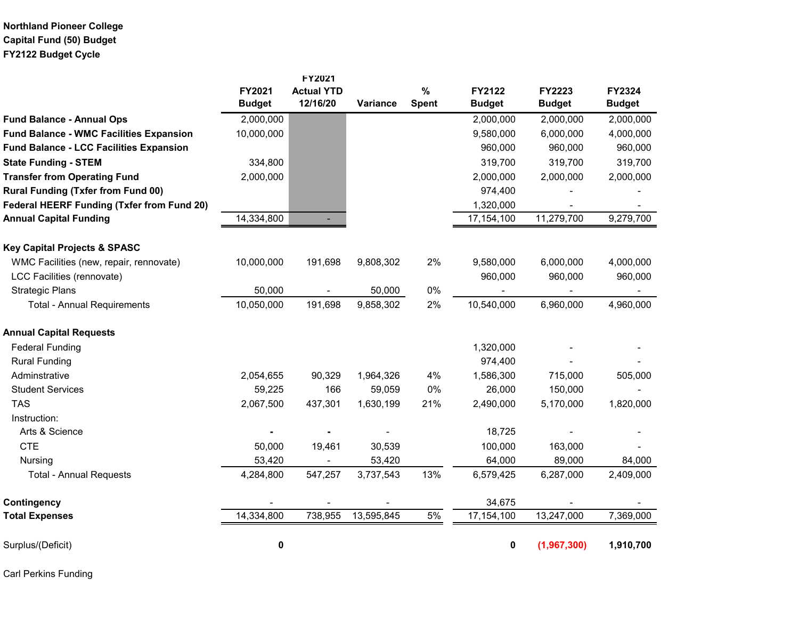## **Northland Pioneer College Capital Fund (50) Budget FY2122 Budget Cycle**

|                                                   |                         | FY2021                        |            |                      |                         |                                |                                |
|---------------------------------------------------|-------------------------|-------------------------------|------------|----------------------|-------------------------|--------------------------------|--------------------------------|
|                                                   | FY2021<br><b>Budget</b> | <b>Actual YTD</b><br>12/16/20 | Variance   | $\%$<br><b>Spent</b> | FY2122<br><b>Budget</b> | <b>FY2223</b><br><b>Budget</b> | <b>FY2324</b><br><b>Budget</b> |
| <b>Fund Balance - Annual Ops</b>                  | 2,000,000               |                               |            |                      | 2,000,000               | 2,000,000                      | 2,000,000                      |
| <b>Fund Balance - WMC Facilities Expansion</b>    | 10,000,000              |                               |            |                      | 9,580,000               | 6,000,000                      | 4,000,000                      |
| <b>Fund Balance - LCC Facilities Expansion</b>    |                         |                               |            |                      | 960,000                 | 960,000                        | 960,000                        |
| <b>State Funding - STEM</b>                       | 334,800                 |                               |            |                      | 319,700                 | 319,700                        | 319,700                        |
| <b>Transfer from Operating Fund</b>               | 2,000,000               |                               |            |                      | 2,000,000               | 2,000,000                      | 2,000,000                      |
| <b>Rural Funding (Txfer from Fund 00)</b>         |                         |                               |            |                      | 974,400                 |                                |                                |
| <b>Federal HEERF Funding (Txfer from Fund 20)</b> |                         |                               |            |                      | 1,320,000               |                                |                                |
| <b>Annual Capital Funding</b>                     | 14,334,800              |                               |            |                      | 17,154,100              | 11,279,700                     | 9,279,700                      |
| <b>Key Capital Projects &amp; SPASC</b>           |                         |                               |            |                      |                         |                                |                                |
| WMC Facilities (new, repair, rennovate)           | 10,000,000              | 191,698                       | 9,808,302  | 2%                   | 9,580,000               | 6,000,000                      | 4,000,000                      |
| LCC Facilities (rennovate)                        |                         |                               |            |                      | 960,000                 | 960,000                        | 960,000                        |
| <b>Strategic Plans</b>                            | 50,000                  |                               | 50,000     | 0%                   |                         |                                |                                |
| <b>Total - Annual Requirements</b>                | 10,050,000              | 191,698                       | 9,858,302  | 2%                   | 10,540,000              | 6,960,000                      | 4,960,000                      |
| <b>Annual Capital Requests</b>                    |                         |                               |            |                      |                         |                                |                                |
| <b>Federal Funding</b>                            |                         |                               |            |                      | 1,320,000               |                                |                                |
| <b>Rural Funding</b>                              |                         |                               |            |                      | 974,400                 |                                |                                |
| Adminstrative                                     | 2,054,655               | 90,329                        | 1,964,326  | 4%                   | 1,586,300               | 715,000                        | 505,000                        |
| <b>Student Services</b>                           | 59,225                  | 166                           | 59,059     | 0%                   | 26,000                  | 150,000                        |                                |
| <b>TAS</b>                                        | 2,067,500               | 437,301                       | 1,630,199  | 21%                  | 2,490,000               | 5,170,000                      | 1,820,000                      |
| Instruction:                                      |                         |                               |            |                      |                         |                                |                                |
| Arts & Science                                    |                         |                               |            |                      | 18,725                  |                                |                                |
| <b>CTE</b>                                        | 50,000                  | 19,461                        | 30,539     |                      | 100,000                 | 163,000                        |                                |
| Nursing                                           | 53,420                  |                               | 53,420     |                      | 64,000                  | 89,000                         | 84,000                         |
| <b>Total - Annual Requests</b>                    | 4,284,800               | 547,257                       | 3,737,543  | 13%                  | 6,579,425               | 6,287,000                      | 2,409,000                      |
| Contingency                                       |                         |                               |            |                      | 34,675                  |                                |                                |
| <b>Total Expenses</b>                             | 14,334,800              | 738,955                       | 13,595,845 | $5\%$                | 17,154,100              | 13,247,000                     | 7,369,000                      |
| Surplus/(Deficit)                                 | 0                       |                               |            |                      | 0                       | (1,967,300)                    | 1,910,700                      |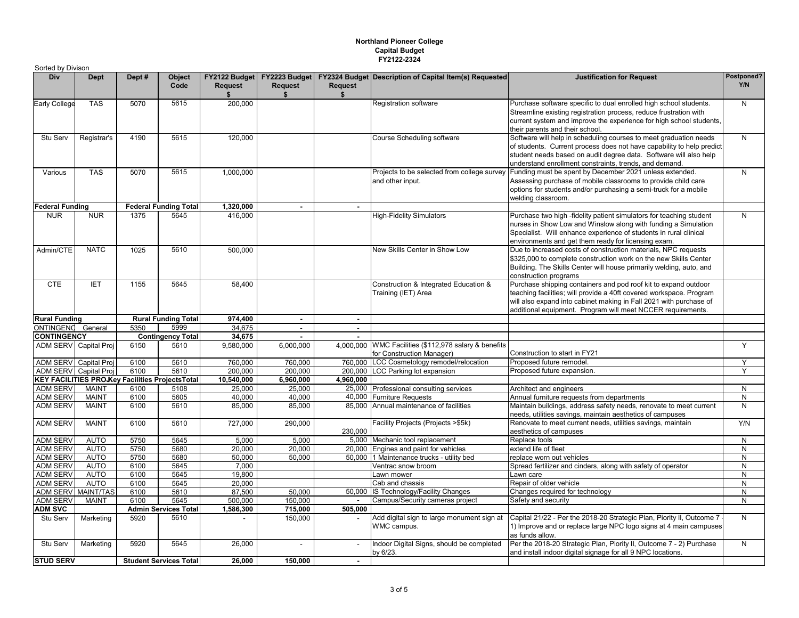## **Northland Pioneer College Capital Budget FY2122-2324**

| Sorted by Divison                  |                              |                                                         |                               |                      |                                                     |                      |                                                                                    |                                                                                                                                                                                                                                                                             |                   |
|------------------------------------|------------------------------|---------------------------------------------------------|-------------------------------|----------------------|-----------------------------------------------------|----------------------|------------------------------------------------------------------------------------|-----------------------------------------------------------------------------------------------------------------------------------------------------------------------------------------------------------------------------------------------------------------------------|-------------------|
| <b>Div</b>                         | <b>Dept</b>                  | Dept#                                                   | Object<br>Code                | <b>Request</b><br>\$ | FY2122 Budget FY2223 Budget<br><b>Request</b><br>\$ | <b>Request</b><br>\$ | <b>FY2324 Budget Description of Capital Item(s) Requested</b>                      | <b>Justification for Request</b>                                                                                                                                                                                                                                            | Postponed?<br>Y/N |
| Early College                      | <b>TAS</b>                   | 5070                                                    | 5615                          | 200,000              |                                                     |                      | <b>Registration software</b>                                                       | Purchase software specific to dual enrolled high school students.<br>Streamline existing registration process, reduce frustration with<br>current system and improve the experience for high school students,<br>their parents and their school.                            | N                 |
| Stu Serv                           | Registrar's                  | 4190                                                    | 5615                          | 120,000              |                                                     |                      | Course Scheduling software                                                         | Software will help in scheduling courses to meet graduation needs<br>of students. Current process does not have capability to help predict<br>student needs based on audit degree data. Software will also help<br>understand enrollment constraints, trends, and demand.   | N                 |
| Various                            | <b>TAS</b>                   | 5070                                                    | 5615                          | 1,000,000            |                                                     |                      | Projects to be selected from college survey<br>and other input.                    | Funding must be spent by December 2021 unless extended.<br>Assessing purchase of mobile classrooms to provide child care<br>options for students and/or purchasing a semi-truck for a mobile<br>welding classroom.                                                          | N                 |
| <b>Federal Funding</b>             |                              |                                                         | <b>Federal Funding Total</b>  | 1,320,000            | ä,                                                  | $\blacksquare$       |                                                                                    |                                                                                                                                                                                                                                                                             |                   |
| <b>NUR</b>                         | <b>NUR</b>                   | 1375                                                    | 5645                          | 416.000              |                                                     |                      | <b>High-Fidelity Simulators</b>                                                    | Purchase two high -fidelity patient simulators for teaching student<br>nurses in Show Low and Winslow along with funding a Simulation<br>Specialist. Will enhance experience of students in rural clinical<br>environments and get them ready for licensing exam.           | N                 |
| Admin/CTE                          | <b>NATC</b>                  | 1025                                                    | 5610                          | 500,000              |                                                     |                      | New Skills Center in Show Low                                                      | Due to increased costs of construction materials, NPC requests<br>\$325,000 to complete construction work on the new Skills Center<br>Building. The Skills Center will house primarily welding, auto, and<br>construction programs                                          |                   |
| <b>CTE</b>                         | <b>IET</b>                   | 1155                                                    | 5645                          | 58,400               |                                                     |                      | Construction & Integrated Education &<br>Training (IET) Area                       | Purchase shipping containers and pod roof kit to expand outdoor<br>teaching facilities; will provide a 40ft covered workspace. Program<br>will also expand into cabinet making in Fall 2021 with purchase of<br>additional equipment. Program will meet NCCER requirements. |                   |
| <b>Rural Funding</b>               |                              |                                                         | <b>Rural Funding Total</b>    | 974,400              | $\sim$                                              | $\sim$               |                                                                                    |                                                                                                                                                                                                                                                                             |                   |
| ONTINGENO General                  |                              | 5350                                                    | 5999                          | 34,675               | $\overline{\phantom{a}}$                            | $\omega$             |                                                                                    |                                                                                                                                                                                                                                                                             |                   |
| <b>CONTINGENCY</b>                 |                              |                                                         | <b>Contingency Total</b>      | 34,675               | $\sim$                                              | $\mathbf{r}$         |                                                                                    |                                                                                                                                                                                                                                                                             |                   |
| ADM SERV Capital Proj              |                              | 6150                                                    | 5610                          | 9,580,000            | 6,000,000                                           |                      | 4,000,000 WMC Facilities (\$112,978 salary & benefits<br>for Construction Manager) | Construction to start in FY21                                                                                                                                                                                                                                               | Y                 |
| ADM SERV Capital Proj              |                              | 6100                                                    | 5610                          | 760.000              | 760.000                                             |                      | 760.000 LCC Cosmetology remodel/relocation                                         | Proposed future remodel.                                                                                                                                                                                                                                                    |                   |
| ADM SERV Capital Proj              |                              | 6100                                                    | 5610                          | 200,000              | 200,000                                             |                      | 200,000 LCC Parking lot expansion                                                  | Proposed future expansion.                                                                                                                                                                                                                                                  | Y                 |
|                                    |                              | <b>KEY FACILITIES PROJKey Facilities Projects Total</b> |                               | 10,540,000           | 6,960,000                                           | 4,960,000            |                                                                                    |                                                                                                                                                                                                                                                                             |                   |
| <b>ADM SERV</b>                    | <b>MAINT</b>                 | 6100                                                    | 5108                          | 25,000               | 25,000                                              |                      | 25,000 Professional consulting services                                            | Architect and engineers                                                                                                                                                                                                                                                     | N                 |
| <b>ADM SERV</b><br><b>ADM SERV</b> | <b>MAINT</b><br><b>MAINT</b> | 6100<br>6100                                            | 5605<br>5610                  | 40,000<br>85,000     | 40,000<br>85,000                                    |                      | 40,000 Furniture Requests<br>85,000 Annual maintenance of facilities               | Annual furniture requests from departments<br>Maintain buildings, address safety needs, renovate to meet current                                                                                                                                                            | N<br>N            |
| <b>ADM SERV</b>                    | <b>MAINT</b>                 | 6100                                                    | 5610                          | 727,000              | 290,000                                             | 230,000              | Facility Projects (Projects >\$5k)                                                 | needs, utilities savings, maintain aesthetics of campuses<br>Renovate to meet current needs, utilities savings, maintain<br>aesthetics of campuses                                                                                                                          | Y/N               |
| <b>ADM SERV</b>                    | <b>AUTO</b>                  | 5750                                                    | 5645                          | 5,000                | 5,000                                               |                      | 5,000 Mechanic tool replacement                                                    | Replace tools                                                                                                                                                                                                                                                               | N                 |
| <b>ADM SERV</b>                    | <b>AUTO</b>                  | 5750                                                    | 5680                          | 20,000               | 20,000                                              |                      | 20,000 Engines and paint for vehicles                                              | extend life of fleet                                                                                                                                                                                                                                                        | N                 |
| <b>ADM SERV</b>                    | AUTO                         | 5750                                                    | 5680                          | 50,000               | 50,000                                              |                      | 50.000 1 Maintenance trucks - utility bed                                          | replace worn out vehicles                                                                                                                                                                                                                                                   | N                 |
| <b>ADM SERV</b>                    | <b>AUTO</b>                  | 6100                                                    | 5645                          | 7.000                |                                                     |                      | Ventrac snow broom                                                                 | Spread fertilizer and cinders, along with safety of operator                                                                                                                                                                                                                | N                 |
| <b>ADM SERV</b>                    | <b>AUTO</b>                  | 6100                                                    | 5645                          | 19.800               |                                                     |                      | Lawn mower                                                                         | Lawn care                                                                                                                                                                                                                                                                   | N                 |
| <b>ADM SERV</b>                    | <b>AUTO</b>                  | 6100                                                    | 5645                          | 20,000               |                                                     |                      | Cab and chassis                                                                    | Repair of older vehicle                                                                                                                                                                                                                                                     | N                 |
| <b>ADM SERV</b>                    | <b>MAINT/TAS</b>             | 6100                                                    | 5610                          | 87,500               | 50,000                                              | 50,000               | IS Technology/Facility Changes                                                     | Changes required for technology                                                                                                                                                                                                                                             | N                 |
| <b>ADM SERV</b>                    | <b>MAINT</b>                 | 6100                                                    | 5645                          | 500,000              | 150,000                                             | $\sim$               | Campus/Security cameras project                                                    | Safety and security                                                                                                                                                                                                                                                         | N                 |
| <b>ADM SVC</b>                     |                              |                                                         | <b>Admin Services Total</b>   | 1,586,300            | 715,000                                             | 505,000              |                                                                                    |                                                                                                                                                                                                                                                                             |                   |
| Stu Serv                           | Marketing                    | 5920                                                    | 5610                          |                      | 150,000                                             |                      | Add digital sign to large monument sign at<br>WMC campus.                          | Capital 21/22 - Per the 2018-20 Strategic Plan, Piority II, Outcome 7<br>1) Improve and or replace large NPC logo signs at 4 main campuses<br>as funds allow.                                                                                                               | N                 |
| Stu Serv                           | Marketing                    | 5920                                                    | 5645                          | 26,000               | $\overline{\phantom{a}}$                            | $\blacksquare$       | Indoor Digital Signs, should be completed<br>by 6/23.                              | Per the 2018-20 Strategic Plan, Piority II, Outcome 7 - 2) Purchase<br>and install indoor digital signage for all 9 NPC locations.                                                                                                                                          | $\mathsf{N}$      |
| <b>STUD SERV</b>                   |                              |                                                         | <b>Student Services Total</b> | 26,000               | 150,000                                             | $\sim$               |                                                                                    |                                                                                                                                                                                                                                                                             |                   |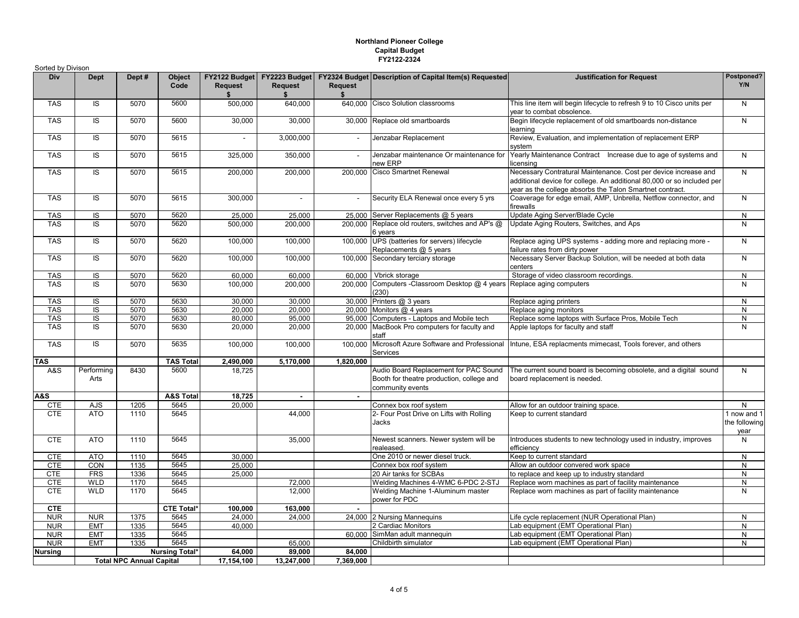## **Northland Pioneer College Capital Budget FY2122-2324**

| Sorted by Divison |                    |                                 |                       |                |                          |                |                                                                                                        |                                                                                                                                                                                                       |                                      |
|-------------------|--------------------|---------------------------------|-----------------------|----------------|--------------------------|----------------|--------------------------------------------------------------------------------------------------------|-------------------------------------------------------------------------------------------------------------------------------------------------------------------------------------------------------|--------------------------------------|
| Div               | <b>Dept</b>        | Dept #                          | <b>Object</b><br>Code | <b>Request</b> | <b>Request</b><br>\$     | <b>Request</b> | FY2122 Budget   FY2223 Budget   FY2324 Budget   Description of Capital Item(s) Requested               | <b>Justification for Request</b>                                                                                                                                                                      | Postponed?<br>Y/N                    |
| <b>TAS</b>        | IS                 | 5070                            | 5600                  | 500,000        | 640,000                  |                | 640.000 Cisco Solution classrooms                                                                      | This line item will begin lifecycle to refresh 9 to 10 Cisco units per<br>year to combat obsolence.                                                                                                   | N                                    |
| <b>TAS</b>        | IS                 | 5070                            | 5600                  | 30,000         | 30,000                   | 30,000         | Replace old smartboards                                                                                | Begin lifecycle replacement of old smartboards non-distance<br>learning                                                                                                                               | N                                    |
| <b>TAS</b>        | IS                 | 5070                            | 5615                  |                | 3,000,000                |                | Jenzabar Replacement                                                                                   | Review, Evaluation, and implementation of replacement ERP<br>system                                                                                                                                   |                                      |
| <b>TAS</b>        | IS                 | 5070                            | 5615                  | 325,000        | 350,000                  |                | Jenzabar maintenance Or maintenance for<br>new ERP                                                     | Yearly Maintenance Contract Increase due to age of systems and<br>licensing                                                                                                                           | N                                    |
| <b>TAS</b>        | $\overline{S}$     | 5070                            | 5615                  | 200,000        | 200,000                  |                | 200,000 Cisco Smartnet Renewal                                                                         | Necessary Contratural Maintenance. Cost per device increase and<br>additional device for college. An additional 80,000 or so included per<br>year as the college absorbs the Talon Smartnet contract. | $\overline{N}$                       |
| <b>TAS</b>        | IS                 | 5070                            | 5615                  | 300,000        | $\overline{\phantom{a}}$ | $\mathbf{r}$   | Security ELA Renewal once every 5 yrs                                                                  | Coaverage for edge email, AMP, Unbrella, Netflow connector, and<br>firewalls                                                                                                                          | N                                    |
| <b>TAS</b>        | IS                 | 5070                            | 5620                  | 25,000         | 25,000                   | 25,000         | Server Replacements @ 5 years                                                                          | Update Aging Server/Blade Cycle                                                                                                                                                                       | N                                    |
| <b>TAS</b>        | IS                 | 5070                            | 5620                  | 500,000        | 200,000                  |                | 200,000 Replace old routers, switches and AP's @<br>6 years                                            | Update Aging Routers, Switches, and Aps                                                                                                                                                               | N                                    |
| <b>TAS</b>        | IS                 | 5070                            | 5620                  | 100,000        | 100,000                  |                | 100,000 UPS (batteries for servers) lifecycle<br>Replacements @ 5 years                                | Replace aging UPS systems - adding more and replacing more -<br>failure rates from dirty power                                                                                                        | N                                    |
| <b>TAS</b>        | IS                 | 5070                            | 5620                  | 100,000        | 100,000                  | 100,000        | Secondary terciary storage                                                                             | Necessary Server Backup Solution, will be needed at both data<br>centers                                                                                                                              | N                                    |
| <b>TAS</b>        | IS                 | 5070                            | 5620                  | 60,000         | 60,000                   | 60.000         | Vbrick storage                                                                                         | Storage of video classroom recordings.                                                                                                                                                                | N                                    |
| <b>TAS</b>        | IS                 | 5070                            | 5630                  | 100,000        | 200,000                  | 200,000        | Computers - Classroom Desktop @ 4 years<br>(230)                                                       | Replace aging computers                                                                                                                                                                               | $\mathsf{N}$                         |
| <b>TAS</b>        | IS                 | 5070                            | 5630                  | 30,000         | 30,000                   |                | 30,000 Printers $@3$ years                                                                             | Replace aging printers                                                                                                                                                                                | N                                    |
| <b>TAS</b>        | IS                 | 5070                            | 5630                  | 20.000         | 20,000                   |                | 20.000 Monitors $@$ 4 years                                                                            | Replace aging monitors                                                                                                                                                                                | $\mathsf{N}$                         |
| <b>TAS</b>        | IS                 | 5070                            | 5630                  | 80,000         | 95,000                   |                | 95,000 Computers - Laptops and Mobile tech                                                             | Replace some laptops with Surface Pros, Mobile Tech                                                                                                                                                   | ${\sf N}$                            |
| <b>TAS</b>        | IS                 | 5070                            | 5630                  | 20,000         | 20,000                   |                | 20,000 MacBook Pro computers for faculty and<br>staff                                                  | Apple laptops for faculty and staff                                                                                                                                                                   | N                                    |
| <b>TAS</b>        | <b>IS</b>          | 5070                            | 5635                  | 100,000        | 100,000                  | 100.000        | Microsoft Azure Software and Professional<br>Services                                                  | Intune, ESA replacments mimecast, Tools forever, and others                                                                                                                                           |                                      |
| <b>TAS</b>        |                    |                                 | <b>TAS Total</b>      | 2,490,000      | 5,170,000                | 1,820,000      |                                                                                                        |                                                                                                                                                                                                       |                                      |
| A&S               | Performing<br>Arts | 8430                            | 5600                  | 18,725         |                          |                | Audio Board Replacement for PAC Sound<br>Booth for theatre production, college and<br>community events | The current sound board is becoming obsolete, and a digital sound<br>board replacement is needed.                                                                                                     | N                                    |
| A&S               |                    |                                 | <b>A&amp;S Total</b>  | 18,725         | $\sim$                   | $\sim$         |                                                                                                        |                                                                                                                                                                                                       |                                      |
| <b>CTE</b>        | AJS                | 1205                            | 5645                  | 20.000         |                          |                | Connex box roof system                                                                                 | Allow for an outdoor training space.                                                                                                                                                                  | N                                    |
| <b>CTE</b>        | <b>ATO</b>         | 1110                            | 5645                  |                | 44,000                   |                | 2- Four Post Drive on Lifts with Rolling<br>Jacks                                                      | Keep to current standard                                                                                                                                                                              | 1 now and 1<br>the following<br>year |
| <b>CTE</b>        | <b>ATO</b>         | 1110                            | 5645                  |                | 35,000                   |                | Newest scanners. Newer system will be<br>realeased.                                                    | Introduces students to new technology used in industry, improves<br>efficiency                                                                                                                        | N                                    |
| <b>CTE</b>        | <b>ATO</b>         | 1110                            | 5645                  | 30,000         |                          |                | One 2010 or newer diesel truck.                                                                        | Keep to current standard                                                                                                                                                                              | N                                    |
| <b>CTE</b>        | CON                | 1135                            | 5645                  | 25,000         |                          |                | Connex box roof system                                                                                 | Allow an outdoor convered work space                                                                                                                                                                  | N                                    |
| <b>CTE</b>        | <b>FRS</b>         | 1336                            | 5645                  | 25,000         |                          |                | 20 Air tanks for SCBAs                                                                                 | to replace and keep up to industry standard                                                                                                                                                           | $\mathsf{N}$                         |
| <b>CTE</b>        | <b>WLD</b>         | 1170                            | 5645                  |                | 72,000                   |                | Welding Machines 4-WMC 6-PDC 2-STJ                                                                     | Replace worn machines as part of facility maintenance                                                                                                                                                 | N                                    |
| <b>CTE</b>        | <b>WLD</b>         | 1170                            | 5645                  |                | 12,000                   |                | Welding Machine 1-Aluminum master<br>power for PDC                                                     | Replace worn machines as part of facility maintenance                                                                                                                                                 | $\mathsf{N}$                         |
| <b>CTE</b>        |                    |                                 | <b>CTE Total*</b>     | 100,000        | 163,000                  | $\sim$         |                                                                                                        |                                                                                                                                                                                                       |                                      |
| <b>NUR</b>        | <b>NUR</b>         | 1375                            | 5645                  | 24,000         | 24,000                   |                | 24,000 2 Nursing Mannequins                                                                            | Life cycle replacement (NUR Operational Plan)                                                                                                                                                         | N                                    |
| <b>NUR</b>        | <b>EMT</b>         | 1335                            | 5645                  | 40,000         |                          |                | 2 Cardiac Monitors                                                                                     | Lab equipment (EMT Operational Plan)                                                                                                                                                                  | $\mathsf{N}$                         |
| <b>NUR</b>        | <b>EMT</b>         | 1335                            | 5645                  |                |                          | 60,000         | SimMan adult mannequin                                                                                 | Lab equipment (EMT Operational Plan)                                                                                                                                                                  | $\mathsf{N}$                         |
| <b>NUR</b>        | <b>EMT</b>         | 1335                            | 5645                  |                | 65,000                   |                | Childbirth simulator                                                                                   | Lab equipment (EMT Operational Plan)                                                                                                                                                                  | N                                    |
| <b>Nursing</b>    |                    |                                 | <b>Nursing Total*</b> | 64,000         | 89,000                   | 84,000         |                                                                                                        |                                                                                                                                                                                                       |                                      |
|                   |                    | <b>Total NPC Annual Capital</b> |                       | 17,154,100     | 13,247,000               | 7,369,000      |                                                                                                        |                                                                                                                                                                                                       |                                      |